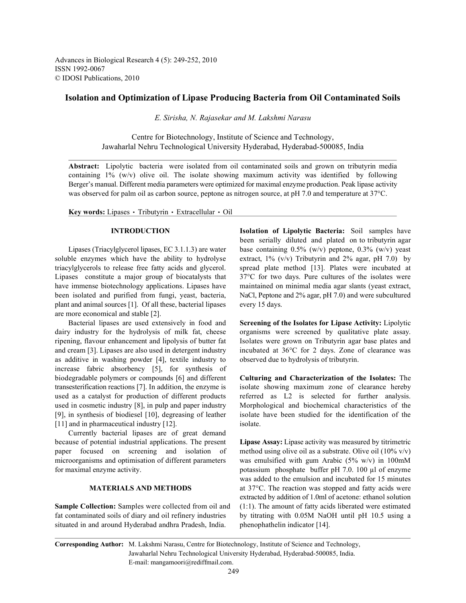Advances in Biological Research 4 (5): 249-252, 2010 ISSN 1992-0067 © IDOSI Publications, 2010

# **Isolation and Optimization of Lipase Producing Bacteria from Oil Contaminated Soils**

*E. Sirisha, N. Rajasekar and M. Lakshmi Narasu*

Centre for Biotechnology, Institute of Science and Technology, Jawaharlal Nehru Technological University Hyderabad, Hyderabad-500085, India

**Abstract:** Lipolytic bacteria were isolated from oil contaminated soils and grown on tributyrin media containing  $1\%$  (w/v) olive oil. The isolate showing maximum activity was identified by following Berger's manual. Different media parameters were optimized for maximal enzyme production. Peak lipase activity was observed for palm oil as carbon source, peptone as nitrogen source, at pH 7.0 and temperature at 37°C.

Key words: Lipases · Tributyrin · Extracellular · Oil

soluble enzymes which have the ability to hydrolyse extract,  $1\%$  (v/v) Tributyrin and  $2\%$  agar, pH 7.0) by triacylglycerols to release free fatty acids and glycerol. spread plate method [13]. Plates were incubated at Lipases constitute a major group of biocatalysts that 37°C for two days. Pure cultures of the isolates were Lipases constitute a major group of biocatalysts that have immense biotechnology applications. Lipases have maintained on minimal media agar slants (yeast extract, been isolated and purified from fungi, yeast, bacteria, NaCl, Peptone and 2% agar, pH 7.0) and were subcultured plant and animal sources [1]. Of all these, bacterial lipases every 15 days. are more economical and stable [2].

dairy industry for the hydrolysis of milk fat, cheese organisms were screened by qualitative plate assay. ripening, flavour enhancement and lipolysis of butter fat Isolates were grown on Tributyrin agar base plates and and cream [3]. Lipases are also used in detergent industry incubated at 36°C for 2 days. Zone of clearance was as additive in washing powder [4], textile industry to observed due to hydrolysis of tributyrin. increase fabric absorbency [5], for synthesis of biodegradable polymers or compounds [6] and different **Culturing and Characterization of the Isolates:** The transesterification reactions [7]. In addition, the enzyme is isolate showing maximum zone of clearance hereby used as a catalyst for production of different products referred as L2 is selected for further analysis. used in cosmetic industry [8], in pulp and paper industry Morphological and biochemical characteristics of the [9], in synthesis of biodiesel [10], degreasing of leather isolate have been studied for the identification of the [11] and in pharmaceutical industry [12]. isolate.

Currently bacterial lipases are of great demand because of potential industrial applications. The present **Lipase Assay:** Lipase activity was measured by titrimetric paper focused on screening and isolation of method using olive oil as a substrate. Olive oil (10% v/v) microorganisms and optimisation of different parameters was emulsified with gum Arabic (5% w/v) in 100mM for maximal enzyme activity. potassium phosphate buffer pH 7.0. 100 µl of enzyme

fat contaminated soils of diary and oil refinery industries situated in and around Hyderabad andhra Pradesh, India. phenophathelin indicator [14].

**INTRODUCTION Isolation of Lipolytic Bacteria:** Soil samples have Lipases (Triacylglycerol lipases, EC 3.1.1.3) are water base containing  $0.5\%$  (w/v) peptone,  $0.3\%$  (w/v) yeast been serially diluted and plated on to tributyrin agar

Bacterial lipases are used extensively in food and **Screening of the Isolates for Lipase Activity:** Lipolytic

**MATERIALS AND METHODS** at 37°C. The reaction was stopped and fatty acids were **Sample Collection:** Samples were collected from oil and (1:1). The amount of fatty acids liberated were estimated fat contaminated soils of diary and oil refinery industries by titrating with 0.05M NaOH until pH 10.5 usin was added to the emulsion and incubated for 15 minutes extracted by addition of 1.0ml of acetone: ethanol solution

**Corresponding Author:** M. Lakshmi Narasu, Centre for Biotechnology, Institute of Science and Technology, Jawaharlal Nehru Technological University Hyderabad, Hyderabad-500085, India. E-mail: mangamoori@rediffmail.com.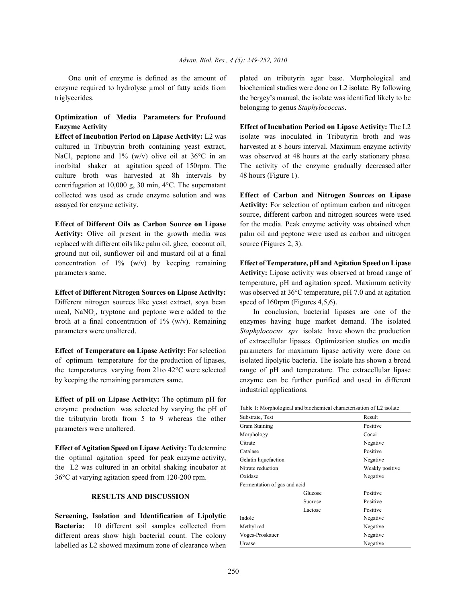triglycerides. the bergey's manual, the isolate was identified likely to be

# **Optimization of Media Parameters for Profound Enzyme Activity Effect of Incubation Period on Lipase Activity:** The L2

cultured in Tribuytrin broth containing yeast extract, harvested at 8 hours interval. Maximum enzyme activity NaCl, peptone and 1% (w/v) olive oil at 36°C in an was observed at 48 hours at the early stationary phase. inorbital shaker at agitation speed of 150rpm. The The activity of the enzyme gradually decreased after culture broth was harvested at 8h intervals by 48 hours (Figure 1). centrifugation at 10,000 g, 30 min, 4°C. The supernatant collected was used as crude enzyme solution and was **Effect of Carbon and Nitrogen Sources on Lipase** assayed for enzyme activity. **Activity:** For selection of optimum carbon and nitrogen

Activity: Olive oil present in the growth media was palm oil and peptone were used as carbon and nitrogen replaced with different oils like palm oil, ghee, coconut oil, source (Figures 2, 3). ground nut oil, sunflower oil and mustard oil at a final concentration of 1% (w/v) by keeping remaining **Effect of Temperature, pH and Agitation Speed on Lipase** parameters same. **Activity:** Lipase activity was observed at broad range of

Different nitrogen sources like yeast extract, soya bean speed of 160rpm (Figures 4,5,6). meal,  $\text{NaNO}_3$ , tryptone and peptone were added to the In conclusion, bacterial lipases are one of the broth at a final concentration of 1% (w/v). Remaining enzymes having huge market demand. The isolated parameters were unaltered. *Staphylococus sps* isolate have shown the production

of optimum temperature for the production of lipases, isolated lipolytic bacteria. The isolate has shown a broad the temperatures varying from 21to 42°C were selected range of pH and temperature. The extracellular lipase by keeping the remaining parameters same. enzyme can be further purified and used in different

**Effect of pH on Lipase Activity:** The optimum pH for enzyme production was selected by varying the pH of the tributyrin broth from 5 to 9 whereas the other parameters were unaltered.

**Effect of Agitation Speed on Lipase Activity:** To determine the optimal agitation speed for peak enzyme activity, the L2 was cultured in an orbital shaking incubator at 36°C at varying agitation speed from 120-200 rpm.

### **RESULTS AND DISCUSSION**

**Screening, Isolation and Identification of Lipolytic Bacteria:** 10 different soil samples collected from different areas show high bacterial count. The colony labelled as L2 showed maximum zone of clearance when

One unit of enzyme is defined as the amount of plated on tributyrin agar base. Morphological and enzyme required to hydrolyse µmol of fatty acids from biochemical studies were done on L2 isolate. By following belonging to genus *Staphylococcus*.

**Effect of Incubation Period on Lipase Activity:** L2 was isolate was inoculated in Tributyrin broth and was

**Effect of Different Oils as Carbon Source on Lipase** for the media. Peak enzyme activity was obtained when source, different carbon and nitrogen sources were used

**Effect of Different Nitrogen Sources on Lipase Activity:** was observed at 36°C temperature, pH 7.0 and at agitation temperature, pH and agitation speed. Maximum activity

**Effect of Temperature on Lipase Activity:** For selection parameters for maximum lipase activity were done on of extracellular lipases. Optimization studies on media industrial applications.

| Table 1: Morphological and biochemical characterisation of L2 isolate |  |
|-----------------------------------------------------------------------|--|
|-----------------------------------------------------------------------|--|

| Substrate, Test              |         | Result          |
|------------------------------|---------|-----------------|
| Gram Staining                |         | Positive        |
| Morphology                   |         | Cocci           |
| Citrate                      |         | Negative        |
| Catalase                     |         | Positive        |
| Gelatin liquefaction         |         | Negative        |
| Nitrate reduction            |         | Weakly positive |
| Oxidase                      |         | Negative        |
| Fermentation of gas and acid |         |                 |
|                              | Glucose | Positive        |
|                              | Sucrose | Positive        |
|                              | Lactose | Positive        |
| Indole                       |         | Negative        |
| Methyl red                   |         | Negative        |
| Voges-Proskauer              |         | Negative        |
| Urease                       |         | Negative        |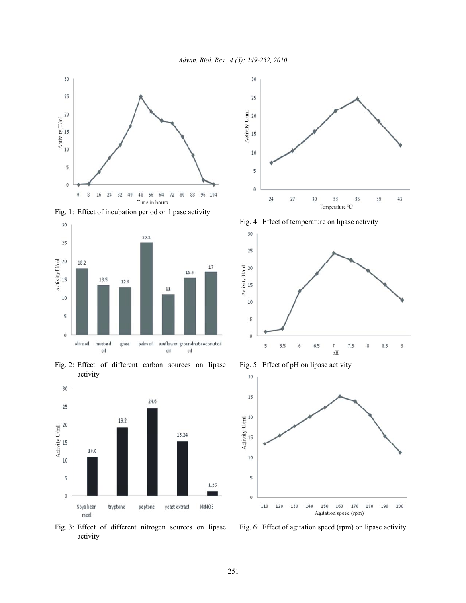*Advan. Biol. Res., 4 (5): 249-252, 2010*







Fig. 2: Effect of different carbon sources on lipase Fig. 5: Effect of pH on lipase activity activity



Fig. 3: Effect of different nitrogen sources on lipase Fig. 6: Effect of agitation speed (rpm) on lipase activity activity



Fig. 4: Effect of temperature on lipase activity